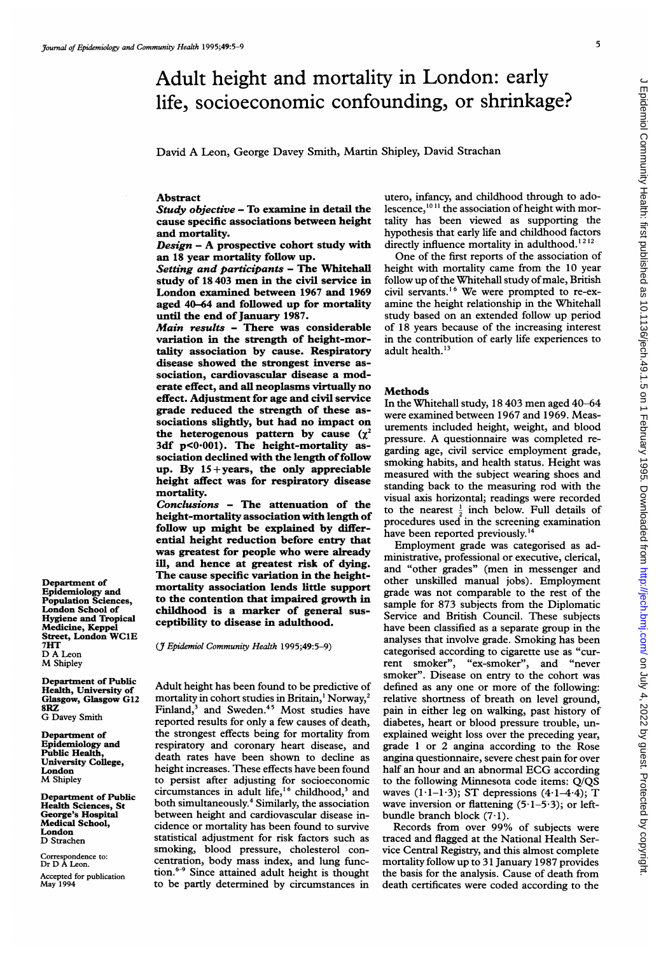# Adult height and mortality in London: early life, socioeconomic confounding, or shrinkage?

David A Leon, George Davey Smith, Martin Shipley, David Strachan

## Abstract

Study objective - To examine in detail the cause specific associations between height and mortality.

 $Design - A prospective cohort study with$ an 18 year mortality follow up.

Setting and participants - The Whitehall study of <sup>18</sup> 403 men in the civil service in London examined between 1967 and 1969 aged 40-64 and followed up for mortality until the end of January 1987.

Main results - There was considerable variation in the strength of height-mortality association by cause. Respiratory disease showed the strongest inverse association, cardiovascular disease a moderate effect, and all neoplasms virtually no effect. Adjustment for age and civil service grade reduced the strength of these associations slightly, but had no impact on the heterogenous pattern by cause  $(\chi^2)$ 3df p<0-001). The height-mortality association declined with the length of follow up. By  $15 + years$ , the only appreciable height affect was for respiratory disease mortality.

Conclusions - The attenuation of the height-mortality association with length of follow up might be explained by differential height reduction before entry that was greatest for people who were already ill, and hence at greatest risk of dying. The cause specific variation in the heightmortality association lends little support to the contention that impaired growth in childhood is a marker of general susceptibility to disease in adulthood.

(7 Epidemiol Community Health 1995;49:5-9)

Adult height has been found to be predictive of mortality in cohort studies in Britain,' Norway,2 Finland,<sup>3</sup> and Sweden.<sup>45</sup> Most studies have reported results for only a few causes of death, the strongest effects being for mortality from respiratory and coronary heart disease, and death rates have been shown to decline as height increases. These effects have been found to persist after adjusting for socioeconomic circumstances in adult life,<sup>16</sup> childhood,<sup>3</sup> and both simultaneously.4 Similarly, the association between height and cardiovascular disease incidence or mortality has been found to survive statistical adjustment for risk factors such as smoking, blood pressure, cholesterol concentration, body mass index, and lung function.<sup>6-9</sup> Since attained adult height is thought to be partly determined by circumstances in

utero, infancy, and childhood through to adolescence,<sup>1011</sup> the association of height with mortality has been viewed as supporting the hypothesis that early life and childhood factors directly influence mortality in adulthood.<sup>1212</sup>

One of the first reports of the association of height with mortality came from the 10 year follow up of the Whitehall study of male, British civil servants.'6 We were prompted to re-examine the height relationship in the Whitehall study based on an extended follow up period of 18 years because of the increasing interest in the contribution of early life experiences to adult health.<sup>13</sup>

#### Methods

In the Whitehall study, 18 403 men aged 40-64 were examined between 1967 and 1969. Measurements included height, weight, and blood pressure. A questionnaire was completed regarding age, civil service employment grade, smoking habits, and health status. Height was measured with the subject wearing shoes and standing back to the measuring rod with the visual axis horizontal; readings were recorded to the nearest  $\frac{1}{2}$  inch below. Full details of procedures used in the screening examination have been reported previously.<sup>14</sup>

Employment grade was categorised as administrative, professional or executive, clerical, and "other grades" (men in messenger and other unskilled manual jobs). Employment grade was not comparable to the rest of the sample for 873 subjects from the Diplomatic Service and British Council. These subjects have been classified as a separate group in the analyses that involve grade. Smoking has been categorised according to cigarette use as "current smoker", "ex-smoker", and "never smoker". Disease on entry to the cohort was defined as any one or more of the following: relative shortness of breath on level ground, pain in either leg on walking, past history of diabetes, heart or blood pressure trouble, unexplained weight loss over the preceding year, grade <sup>1</sup> or 2 angina according to the Rose angina questionnaire, severe chest pain for over half an hour and an abnormal ECG according to the following Minnesota code items: Q/QS waves  $(1 \cdot 1 - 1 \cdot 3)$ ; ST depressions  $(4 \cdot 1 - 4 \cdot 4)$ ; T wave inversion or flattening  $(5.1-5.3)$ ; or leftbundle branch block (7.1).

Records from over 99% of subjects were traced and flagged at the National Health Service Central Registry, and this almost complete mortality follow up to 31 January 1987 provides the basis for the analysis. Cause of death from death certificates were coded according to the

Department of Epidemiology and Population Sciences, London School of Hygiene and Tropical Medicine, Keppel Street, London WClE 7HT D A Leon M Shipley

Department of Public Health, University of Glasgow, Glasgow G12 8RZ G Davey Smith

Department of Epidemiology and Public Health, University College, London M Shipley

Department of Public Health Sciences, St George's Hospital Medical School, London D Strachen

Correspondence to: Dr D A Leon. Accepted for publication May 1994 5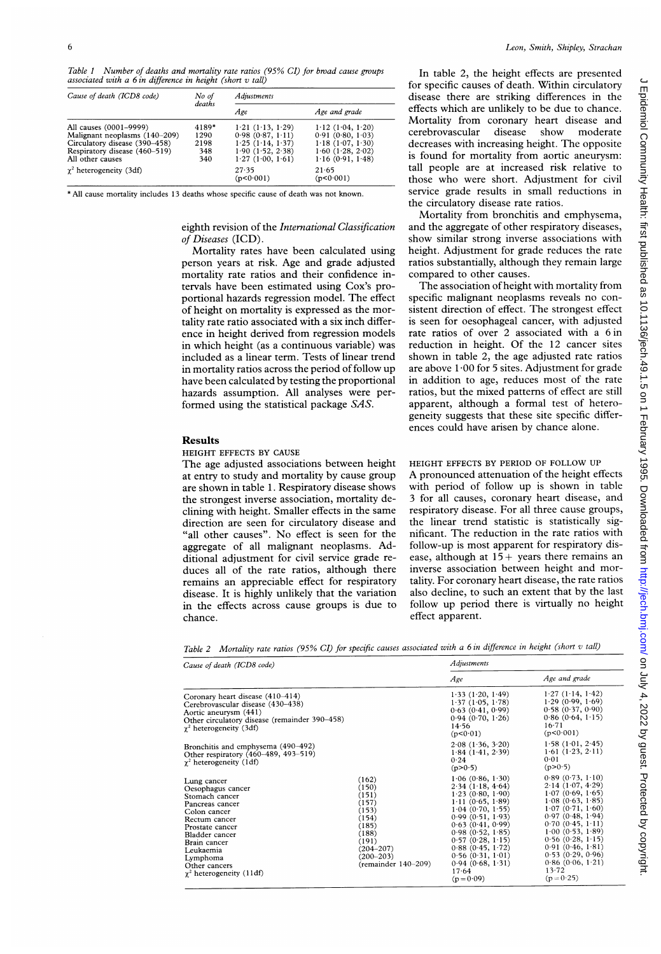Table <sup>1</sup> Number of deaths and mortality rate ratios (95% CI) for broad cause groups associated with a  $6$  in difference in height (short  $v$  tall)

| Cause of death (ICD8 code)     | No of<br>deaths | <b>Adjustments</b>   |                        |
|--------------------------------|-----------------|----------------------|------------------------|
|                                |                 | Age                  | Age and grade          |
| All causes (0001-9999)         | 4189*           | 1.21(1.13, 1.29)     | 1.12(1.04, 1.20)       |
| Malignant neoplasms (140-209)  | 1290            | 0.98(0.87, 1.11)     | 0.91(0.80, 1.03)       |
| Circulatory disease (390–458)  | 2198            | 1.25(1.14, 1.37)     | 1.18(1.07, 1.30)       |
| Respiratory disease (460-519)  | 348             | 1.90(1.52, 2.38)     | $1.60$ $(1.28, 2.02)$  |
| All other causes               | 340             | 1.27(1.00, 1.61)     | 1.16(0.91, 1.48)       |
| $\gamma^2$ heterogeneity (3df) |                 | 27.35<br>(p < 0.001) | $21 - 65$<br>(p<0.001) |

\* All cause mortality includes 13 deaths whose specific cause of death was not known.

## eighth revision of the International Classification of Diseases (ICD).

Mortality rates have been calculated using person years at risk. Age and grade adjusted mortality rate ratios and their confidence intervals have been estimated using Cox's proportional hazards regression model. The effect of height on mortality is expressed as the mortality rate ratio associated with a six inch difference in height derived from regression models in which height (as a continuous variable) was included as a linear term. Tests of linear trend in mortality ratios across the period of follow up have been calculated by testing the proportional hazards assumption. All analyses were performed using the statistical package SAS.

#### Results

#### HEIGHT EFFECTS BY CAUSE

The age adjusted associations between height at entry to study and mortality by cause group are shown in table 1. Respiratory disease shows the strongest inverse association, mortality declining with height. Smaller effects in the same direction are seen for circulatory disease and "all other causes". No effect is seen for the aggregate of all malignant neoplasms. Additional adjustment for civil service grade reduces all of the rate ratios, although there remains an appreciable effect for respiratory disease. It is highly unlikely that the variation in the effects across cause groups is due to chance.

In table 2, the height effects are presented for specific causes of death. Within circulatory disease there are striking differences in the effects which are unlikely to be due to chance. Mortality from coronary heart disease and cerebrovascular disease show moderate decreases with increasing height. The opposite is found for mortality from aortic aneurysm: tall people are at increased risk relative to those who were short. Adjustment for civil service grade results in small reductions in the circulatory disease rate ratios.

Mortality from bronchitis and emphysema, and the aggregate of other respiratory diseases, show similar strong inverse associations with height. Adjustment for grade reduces the rate ratios substantially, although they remain large compared to other causes.

The association of height with mortality from specific malignant neoplasms reveals no consistent direction of effect. The strongest effect is seen for oesophageal cancer, with adjusted rate ratios of over 2 associated with a 6 in reduction in height. Of the 12 cancer sites shown in table 2, the age adjusted rate ratios are above  $1.00$  for 5 sites. Adjustment for grade in addition to age, reduces most of the rate ratios, but the mixed patterns of effect are still apparent, although a formal test of heterogeneity suggests that these site specific differences could have arisen by chance alone.

HEIGHT EFFECTS BY PERIOD OF FOLLOW UP A pronounced attenuation of the height effects with period of follow up is shown in table 3 for all causes, coronary heart disease, and respiratory disease. For all three cause groups, the linear trend statistic is statistically significant. The reduction in the rate ratios with follow-up is most apparent for respiratory disease, although at  $15+$  years there remains an inverse association between height and mortality. For coronary heart disease, the rate ratios also decline, to such an extent that by the last follow up period there is virtually no height effect apparent.

Table 2 Mortality rate ratios (95% CI) for specific causes associated with a <sup>6</sup> in difference in height (short v tall)

| Cause of death (ICD8 code)                                                                                                                                                                                                               |                                                                                                                                    | Adjustments                                                                                                                                                                                                                                                              |                                                                                                                                                                                                                                                                                  |  |
|------------------------------------------------------------------------------------------------------------------------------------------------------------------------------------------------------------------------------------------|------------------------------------------------------------------------------------------------------------------------------------|--------------------------------------------------------------------------------------------------------------------------------------------------------------------------------------------------------------------------------------------------------------------------|----------------------------------------------------------------------------------------------------------------------------------------------------------------------------------------------------------------------------------------------------------------------------------|--|
|                                                                                                                                                                                                                                          |                                                                                                                                    | Age                                                                                                                                                                                                                                                                      | Age and grade                                                                                                                                                                                                                                                                    |  |
| Coronary heart disease (410-414)<br>Cerebrovascular disease (430-438)<br>Aortic aneurysm (441)<br>Other circulatory disease (remainder 390-458)<br>$\gamma^2$ heterogeneity (3df)                                                        |                                                                                                                                    | 1.33(1.20, 1.49)<br>1.37(1.05, 1.78)<br>$0.63$ $(0.41, 0.99)$<br>0.94(0.70, 1.26)<br>14.56<br>(p < 0.01)                                                                                                                                                                 | 1.27(1.14, 1.42)<br>1.29(0.99, 1.69)<br>0.58(0.37, 0.90)<br>$0.86$ ( $0.64$ , $1.15$ )<br>$16 - 71$<br>(p < 0.001)                                                                                                                                                               |  |
| Bronchitis and emphysema (490–492)<br>Other respiratory (460-489, 493-519)<br>$\gamma^2$ heterogeneity (1df)                                                                                                                             |                                                                                                                                    | $2.08$ (1.36, 3.20)<br>$1.84$ (1.41, 2.39)<br>0.24<br>(p>0.5)                                                                                                                                                                                                            | 1.58(1.01, 2.45)<br>$1.61$ (1.23, 2.11)<br>0.01<br>(p>0.5)                                                                                                                                                                                                                       |  |
| Lung cancer<br>Oesophagus cancer<br>Stomach cancer<br>Pancreas cancer<br>Colon cancer<br>Rectum cancer<br>Prostate cancer<br>Bladder cancer<br>Brain cancer<br>Leukaemia<br>Lymphoma<br>Other cancers<br>$\gamma^2$ heterogeneity (11df) | (162)<br>(150)<br>(151)<br>(157)<br>(153)<br>(154)<br>(185)<br>(188)<br>(191)<br>(204–207)<br>$(200 - 203)$<br>(remainder 140-209) | 1.06(0.86, 1.30)<br>2.34(1.18, 4.64)<br>1.23(0.80, 1.90)<br>1.11(0.65, 1.89)<br>$1.04$ (0.70, 1.55)<br>0.99(0.51, 1.93)<br>0.63(0.41, 0.99)<br>0.98(0.52, 1.85)<br>0.57(0.28, 1.15)<br>0.88(0.45, 1.72)<br>0.56(0.31, 1.01)<br>0.94(0.68, 1.31)<br>17.64<br>$(p = 0.09)$ | 0.89(0.73, 1.10)<br>2.14(1.07, 4.29)<br>1.07(0.69, 1.65)<br>$1.08$ (0.63, $1.85$ )<br>1.07(0.71, 1.60)<br>0.97(0.48, 1.94)<br>0.70(0.45, 1.11)<br>1.00(0.53, 1.89)<br>$0.56$ $(0.28, 1.15)$<br>0.91(0.46, 1.81)<br>0.53(0.29, 0.96)<br>0.86(0.06, 1.21)<br>13.72<br>$(p = 0.25)$ |  |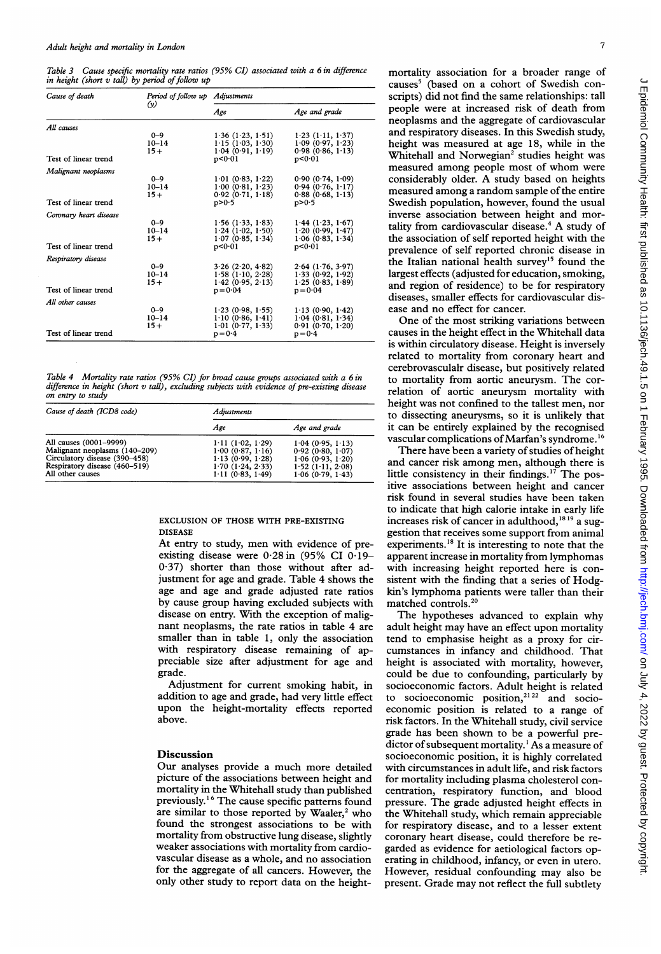Table 3 Cause specific mortality rate ratios (95% CI) associated with a 6 in difference in height (short  $v$  tall) by period of follow up

| Cause of death         | Period of follow up Adjustments<br>$\omega$ |                                |                                |  |
|------------------------|---------------------------------------------|--------------------------------|--------------------------------|--|
|                        |                                             | Age                            | Age and grade                  |  |
| All causes             |                                             |                                |                                |  |
|                        | $0 - 9$                                     | 1.36(1.23, 1.51)               | $1.23$ ( $1.11$ , $1.37$ )     |  |
|                        | $10 - 14$                                   | $1.15$ (1.03, 1.30)            | 1.09(0.97, 1.23)               |  |
| Test of linear trend   | $15+$                                       | 1.04(0.91, 1.19)<br>p < 0.01   | 0.98(0.86, 1.13)<br>p < 0.01   |  |
| Malignant neoplasms    |                                             |                                |                                |  |
|                        | $0 - 9$                                     | $1.01$ (0.83, $1.22$ )         | 0.90(0.74, 1.09)               |  |
|                        | $10 - 14$                                   | 1.00(0.81, 1.23)               | 0.94(0.76, 1.17)               |  |
|                        | $15+$                                       | $0.92$ $(0.71, 1.18)$          | 0.88(0.68, 1.13)               |  |
| Test of linear trend   |                                             | p > 0.5                        | p > 0.5                        |  |
| Coronary heart disease |                                             |                                |                                |  |
|                        | $0 - 9$                                     | $1.56$ (1.33, 1.83)            | $1.44$ (1.23, 1.67)            |  |
|                        | $10 - 14$                                   | $1.24$ (1.02, 1.50)            | 1.20(0.99, 1.47)               |  |
| Test of linear trend   | $15+$                                       | 1.07(0.85, 1.34)               | 1.06(0.83, 1.34)               |  |
|                        |                                             | p < 0.01                       | p < 0.01                       |  |
| Respiratory disease    |                                             |                                |                                |  |
|                        | $0 - 9$                                     | $3.26$ ( $2.20, 4.82$ )        | $2.64$ (1.76, 3.97)            |  |
|                        | $10 - 14$                                   | $1.58$ ( $1.10, 2.28$ )        | 1.33(0.92, 1.92)               |  |
| Test of linear trend   | $15+$                                       | 1.42(0.95, 2.13)<br>$p = 0.04$ | 1.25(0.83, 1.89)<br>$p = 0.04$ |  |
| All other causes       |                                             |                                |                                |  |
|                        | $0 - 9$                                     | 1.23(0.98, 1.55)               | 1.13(0.90, 1.42)               |  |
|                        | $10 - 14$                                   | 1.10(0.86, 1.41)               | 1.04(0.81, 1.34)               |  |
| Test of linear trend   | $15+$                                       | 1.01(0.77, 1.33)               | 0.91(0.70, 1.20)               |  |
|                        |                                             | $p = 0.4$                      | $p = 0.4$                      |  |

Table 4 Mortality rate ratios (95% CI) for broad cause groups associated with a 6 in difference in height (short  $v$  tall), excluding subjects with evidence of pre-existing disease on entry to study

| Cause of death (ICD8 code)                                                                                                                    | Adiustments                                                                                      |                                                                                                            |  |
|-----------------------------------------------------------------------------------------------------------------------------------------------|--------------------------------------------------------------------------------------------------|------------------------------------------------------------------------------------------------------------|--|
|                                                                                                                                               | Age                                                                                              | Age and grade                                                                                              |  |
| All causes (0001-9999)<br>Malignant neoplasms (140–209)<br>Circulatory disease (390–458)<br>Respiratory disease (460-519)<br>All other causes | 1.11(1.02, 1.29)<br>1.00(0.87, 1.16)<br>1.13(0.99, 1.28)<br>1.70(1.24, 2.33)<br>1.11(0.83, 1.49) | 1.04(0.95, 1.13)<br>0.92(0.80, 1.07)<br>1.06(0.93, 1.20)<br>$1.52$ ( $1.11$ , $2.08$ )<br>1.06(0.79, 1.43) |  |

EXCLUSION OF THOSE WITH PRE-EXISTING DISEASE

At entry to study, men with evidence of preexisting disease were 0-28in (95% CI 0-19- 0.37) shorter than those without after adjustment for age and grade. Table 4 shows the age and age and grade adjusted rate ratios by cause group having excluded subjects with disease on entry. With the exception of malignant neoplasms, the rate ratios in table 4 are smaller than in table 1, only the association with respiratory disease remaining of appreciable size after adjustment for age and grade.

Adjustment for current smoking habit, in addition to age and grade, had very little effect upon the height-mortality effects reported above.

## **Discussion**

Our analyses provide <sup>a</sup> much more detailed picture of the associations between height and mortality in the Whitehall study than published previously.'6 The cause specific patterns found are similar to those reported by Waaler, $2$  who found the strongest associations to be with mortality from obstructive lung disease, slightly weaker associations with mortality from cardiovascular disease as a whole, and no association for the aggregate of all cancers. However, the only other study to report data on the heightmortality association for a broader range of causes<sup>5</sup> (based on a cohort of Swedish conscripts) did not find the same relationships: tall people were at increased risk of death from neoplasms and the aggregate of cardiovascular and respiratory diseases. In this Swedish study, height was measured at age 18, while in the Whitehall and Norwegian<sup>2</sup> studies height was measured among people most of whom were considerably older. A study based on heights measured among a random sample of the entire Swedish population, however, found the usual inverse association between height and mortality from cardiovascular disease. $4$  A study of the association of self reported height with the prevalence of self reported chronic disease in the Italian national health survey<sup>15</sup> found the largest effects (adjusted for education, smoking, and region of residence) to be for respiratory diseases, smaller effects for cardiovascular disease and no effect for cancer.

One of the most striking variations between causes in the height effect in the Whitehall data is within circulatory disease. Height is inversely related to mortality from coronary heart and cerebrovasculalr disease, but positively related to mortality from aortic aneurysm. The correlation of aortic aneurysm mortality with height was not confined to the tallest men, nor to dissecting aneurysms, so it is unlikely that it can be entirely explained by the recognised vascular complications of Marfan's syndrome.<sup>16</sup>

There have been a variety of studies of height and cancer risk among men, although there is little consistency in their findings.'7 The positive associations between height and cancer risk found in several studies have been taken to indicate that high calorie intake in early life increases risk of cancer in adulthood,'819 a suggestion that receives some support from animal experiments.<sup>18</sup> It is interesting to note that the apparent increase in mortality from lymphomas with increasing height reported here is consistent with the finding that a series of Hodgkin's lymphoma patients were taller than their matched controls.<sup>20</sup>

The hypotheses advanced to explain why adult height may have an effect upon mortality tend to emphasise height as a proxy for circumstances in infancy and childhood. That height is associated with mortality, however, could be due to confounding, particularly by socioeconomic factors. Adult height is related to socioeconomic position,<sup>21 22</sup> and socioeconomic position is related to a range of risk factors. In the Whitehall study, civil service grade has been shown to be a powerful predictor of subsequent mortality. ' As a measure of socioeconomic position, it is highly correlated with circumstances in adult life, and risk factors for mortality including plasma cholesterol concentration, respiratory function, and blood pressure. The grade adjusted height effects in the Whitehall study, which remain appreciable for respiratory disease, and to a lesser extent coronary heart disease, could therefore be regarded as evidence for aetiological factors operating in childhood, infancy, or even in utero. However, residual confounding may also be present. Grade may not reflect the full subtlety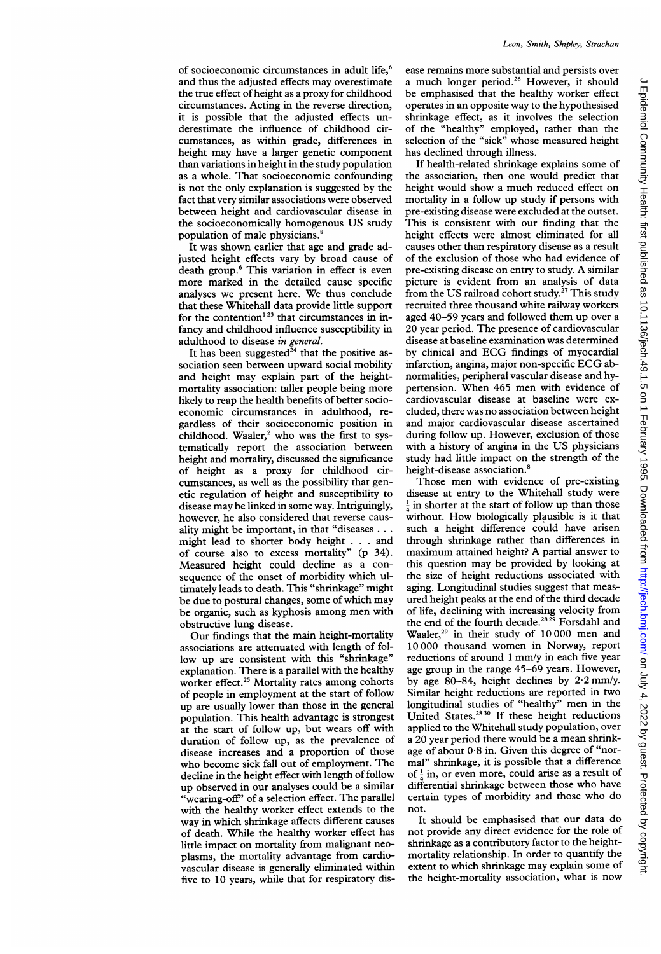of socioeconomic circumstances in adult life,<sup>6</sup> and thus the adjusted effects may overestimate the true effect ofheight as a proxy for childhood circumstances. Acting in the reverse direction, it is possible that the adjusted effects underestimate the influence of childhood circumstances, as within grade, differences in height may have <sup>a</sup> larger genetic component than variations in height in the study population as a whole. That socioeconomic confounding is not the only explanation is suggested by the fact that very similar associations were observed between height and cardiovascular disease in the socioeconomically homogenous US study population of male physicians.<sup>8</sup>

It was shown earlier that age and grade adjusted height effects vary by broad cause of death group.<sup>6</sup> This variation in effect is even more marked in the detailed cause specific analyses we present here. We thus conclude that these Whitehall data provide little support for the contention<sup>123</sup> that circumstances in infancy and childhood influence susceptibility in adulthood to disease in general.

It has been suggested<sup>24</sup> that the positive association seen between upward social mobility and height may explain part of the heightmortality association: taller people being more likely to reap the health benefits of better socioeconomic circumstances in adulthood, regardless of their socioeconomic position in childhood. Waaler,<sup>2</sup> who was the first to systematically report the association between height and mortality, discussed the significance of height as a proxy for childhood circumstances, as well as the possibility that genetic regulation of height and susceptibility to disease may be linked in some way. Intriguingly, however, he also considered that reverse causality might be important, in that "diseases ... might lead to shorter body height . . . and of course also to excess mortality" (p 34). Measured height could decline as a consequence of the onset of morbidity which ultimately leads to death. This "shrinkage" might be due to postural changes, some of which may be organic, such as kyphosis among men with obstructive lung disease.

Our findings that the main height-mortality associations are attenuated with length of follow up are consistent with this "shrinkage" explanation. There is a parallel with the healthy worker effect.<sup>25</sup> Mortality rates among cohorts of people in employment at the start of follow up are usually lower than those in the general population. This health advantage is strongest at the start of follow up, but wears off with duration of follow up, as the prevalence of disease increases and a proportion of those who become sick fall out of employment. The decline in the height effect with length of follow up observed in our analyses could be <sup>a</sup> similar "wearing-off" of a selection effect. The parallel with the healthy worker effect extends to the way in which shrinkage affects different causes of death. While the healthy worker effect has little impact on mortality from malignant neoplasms, the mortality advantage from cardiovascular disease is generally eliminated within five to 10 years, while that for respiratory dis-

ease remains more substantial and persists over a much longer period.<sup>26</sup> However, it should be emphasised that the healthy worker effect operates in an opposite way to the hypothesised shrinkage effect, as it involves the selection of the "healthy" employed, rather than the selection of the "sick" whose measured height has declined through illness.

If health-related shrinkage explains some of the association, then one would predict that height would show <sup>a</sup> much reduced effect on mortality in a follow up study if persons with pre-existing disease were excluded at the outset. This is consistent with our finding that the height effects were almost eliminated for all causes other than respiratory disease as a result of the exclusion of those who had evidence of pre-existing disease on entry to study. A similar picture is evident from an analysis of data from the US railroad cohort study.<sup>27</sup> This study recruited three thousand white railway workers aged 40-59 years and followed them up over <sup>a</sup> 20 year period. The presence of cardiovascular disease at baseline examination was determined by clinical and ECG findings of myocardial infarction, angina, major non-specific ECG abnormalities, peripheral vascular disease and hypertension. When 465 men with evidence of cardiovascular disease at baseline were excluded, there was no association between height and major cardiovascular disease ascertained during follow up. However, exclusion of those with <sup>a</sup> history of angina in the US physicians study had little impact on the strength of the height-disease association.<sup>8</sup>

Those men with evidence of pre-existing disease at entry to the Whitehall study were  $\frac{1}{4}$  in shorter at the start of follow up than those without. How biologically plausible is it that such a height difference could have arisen through shrinkage rather than differences in maximum attained height? A partial answer to this question may be provided by looking at the size of height reductions associated with aging. Longitudinal studies suggest that measured height peaks at the end of the third decade of life, declining with increasing velocity from the end of the fourth decade.<sup>2829</sup> Forsdahl and Waaler,<sup>29</sup> in their study of 10 000 men and 10 000 thousand women in Norway, report reductions of around <sup>1</sup> mm/y in each five year age group in the range 45-69 years. However, by age 80-84, height declines by  $2.2$  mm/y. Similar height reductions are reported in two longitudinal studies of "healthy" men in the United States.<sup>2830</sup> If these height reductions applied to the Whitehall study population, over <sup>a</sup> 20 year period there would be <sup>a</sup> mean shrinkage of about 0-8 in. Given this degree of "normal" shrinkage, it is possible that a difference of  $\frac{1}{4}$  in, or even more, could arise as a result of differential shrinkage between those who have certain types of morbidity and those who do not.

It should be emphasised that our data do not provide any direct evidence for the role of shrinkage as a contributory factor to the heightmortality relationship. In order to quantify the extent to which shrinkage may explain some of the height-mortality association, what is now